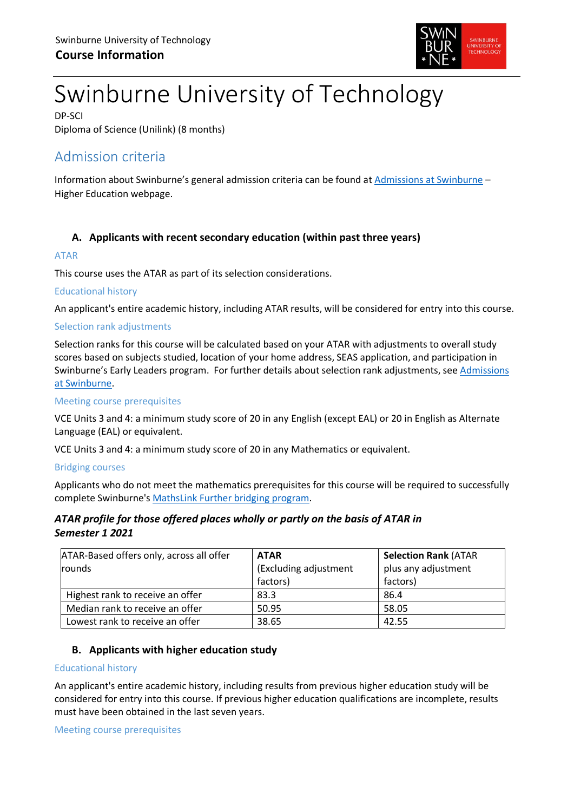

# Swinburne University of Technology

DP-SCI Diploma of Science (Unilink) (8 months)

# Admission criteria

Information about Swinburne's general admission criteria can be found at [Admissions at Swinburne](https://www.swinburne.edu.au/study/degrees/apply/admissions/) – Higher Education webpage.

# **A. Applicants with recent secondary education (within past three years)**

## ATAR

This course uses the ATAR as part of its selection considerations.

## Educational history

An applicant's entire academic history, including ATAR results, will be considered for entry into this course.

## Selection rank adjustments

Selection ranks for this course will be calculated based on your ATAR with adjustments to overall study scores based on subjects studied, location of your home address, SEAS application, and participation in Swinburne's Early Leaders program. For further details about selection rank adjustments, see [Admissions](https://www.swinburne.edu.au/study/degrees/apply/admissions/)  [at Swinburne.](https://www.swinburne.edu.au/study/degrees/apply/admissions/)

#### Meeting course prerequisites

VCE Units 3 and 4: a minimum study score of 20 in any English (except EAL) or 20 in English as Alternate Language (EAL) or equivalent.

VCE Units 3 and 4: a minimum study score of 20 in any Mathematics or equivalent.

#### Bridging courses

Applicants who do not meet the mathematics prerequisites for this course will be required to successfully complete Swinburne's [MathsLink Further bridging program.](https://www.swinburne.edu.au/study/course/MathsLink-Bridging-Program-(Further)-NN-VCEXT1/local)

# *ATAR profile for those offered places wholly or partly on the basis of ATAR in Semester 1 2021*

| ATAR-Based offers only, across all offer | <b>ATAR</b>           | <b>Selection Rank (ATAR</b> |  |
|------------------------------------------|-----------------------|-----------------------------|--|
| rounds                                   | (Excluding adjustment | plus any adjustment         |  |
|                                          | factors)              | factors)                    |  |
| Highest rank to receive an offer         | 83.3                  | 86.4                        |  |
| Median rank to receive an offer          | 50.95                 | 58.05                       |  |
| Lowest rank to receive an offer          | 38.65                 | 42.55                       |  |

# **B. Applicants with higher education study**

#### Educational history

An applicant's entire academic history, including results from previous higher education study will be considered for entry into this course. If previous higher education qualifications are incomplete, results must have been obtained in the last seven years.

Meeting course prerequisites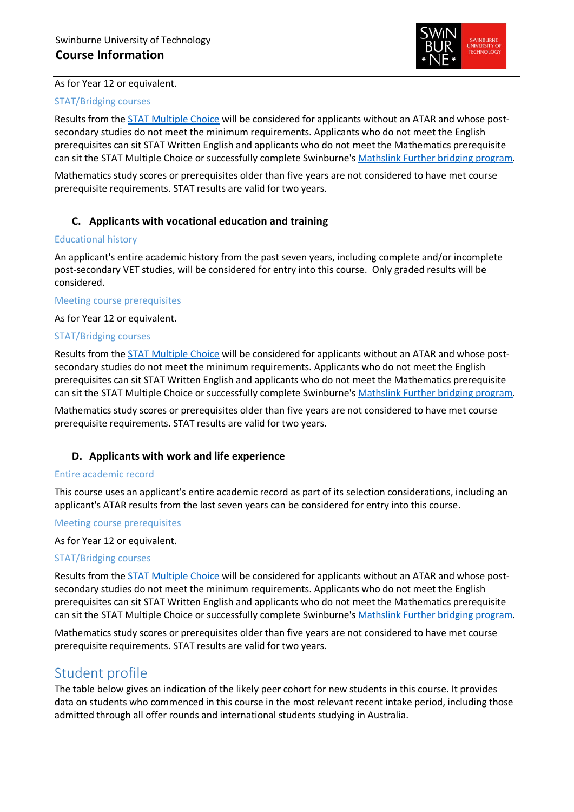

#### As for Year 12 or equivalent.

#### STAT/Bridging courses

Results from the [STAT Multiple Choice](https://www.swinburne.edu.au/study/degrees/apply/admissions-test/) will be considered for applicants without an ATAR and whose postsecondary studies do not meet the minimum requirements. Applicants who do not meet the English prerequisites can sit STAT Written English and applicants who do not meet the Mathematics prerequisite can sit the STAT Multiple Choice or successfully complete Swinburne'[s Mathslink Further bridging program.](https://www.swinburne.edu.au/study/course/MathsLink-Bridging-Program-(Further)-NN-VCEXT1/local)

Mathematics study scores or prerequisites older than five years are not considered to have met course prerequisite requirements. STAT results are valid for two years.

# **C. Applicants with vocational education and training**

#### Educational history

An applicant's entire academic history from the past seven years, including complete and/or incomplete post-secondary VET studies, will be considered for entry into this course. Only graded results will be considered.

#### Meeting course prerequisites

As for Year 12 or equivalent.

#### STAT/Bridging courses

Results from the [STAT Multiple Choice](https://www.swinburne.edu.au/study/degrees/apply/admissions-test/) will be considered for applicants without an ATAR and whose postsecondary studies do not meet the minimum requirements. Applicants who do not meet the English prerequisites can sit STAT Written English and applicants who do not meet the Mathematics prerequisite can sit the STAT Multiple Choice or successfully complete Swinburne'[s Mathslink Further bridging program.](https://www.swinburne.edu.au/study/course/MathsLink-Bridging-Program-(Further)-NN-VCEXT1/local)

Mathematics study scores or prerequisites older than five years are not considered to have met course prerequisite requirements. STAT results are valid for two years.

#### **D. Applicants with work and life experience**

#### Entire academic record

This course uses an applicant's entire academic record as part of its selection considerations, including an applicant's ATAR results from the last seven years can be considered for entry into this course.

#### Meeting course prerequisites

As for Year 12 or equivalent.

#### STAT/Bridging courses

Results from the [STAT Multiple Choice](https://www.swinburne.edu.au/study/degrees/apply/admissions-test/) will be considered for applicants without an ATAR and whose postsecondary studies do not meet the minimum requirements. Applicants who do not meet the English prerequisites can sit STAT Written English and applicants who do not meet the Mathematics prerequisite can sit the STAT Multiple Choice or successfully complete Swinburne'[s Mathslink Further bridging program.](https://www.swinburne.edu.au/study/course/MathsLink-Bridging-Program-(Further)-NN-VCEXT1/local)

Mathematics study scores or prerequisites older than five years are not considered to have met course prerequisite requirements. STAT results are valid for two years.

# Student profile

The table below gives an indication of the likely peer cohort for new students in this course. It provides data on students who commenced in this course in the most relevant recent intake period, including those admitted through all offer rounds and international students studying in Australia.